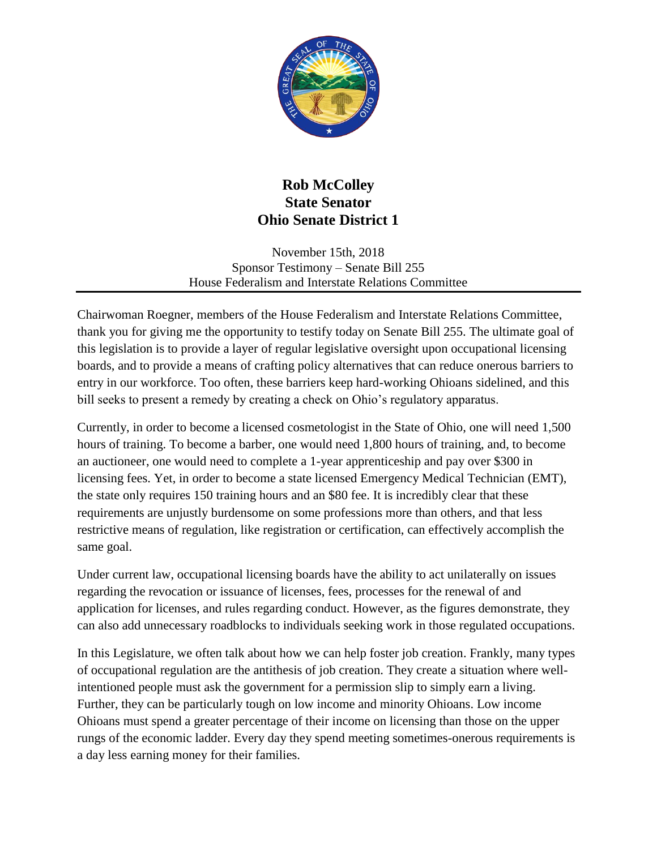

## **Rob McColley State Senator Ohio Senate District 1**

November 15th, 2018 Sponsor Testimony – Senate Bill 255 House Federalism and Interstate Relations Committee

Chairwoman Roegner, members of the House Federalism and Interstate Relations Committee, thank you for giving me the opportunity to testify today on Senate Bill 255. The ultimate goal of this legislation is to provide a layer of regular legislative oversight upon occupational licensing boards, and to provide a means of crafting policy alternatives that can reduce onerous barriers to entry in our workforce. Too often, these barriers keep hard-working Ohioans sidelined, and this bill seeks to present a remedy by creating a check on Ohio's regulatory apparatus.

Currently, in order to become a licensed cosmetologist in the State of Ohio, one will need 1,500 hours of training. To become a barber, one would need 1,800 hours of training, and, to become an auctioneer, one would need to complete a 1-year apprenticeship and pay over \$300 in licensing fees. Yet, in order to become a state licensed Emergency Medical Technician (EMT), the state only requires 150 training hours and an \$80 fee. It is incredibly clear that these requirements are unjustly burdensome on some professions more than others, and that less restrictive means of regulation, like registration or certification, can effectively accomplish the same goal.

Under current law, occupational licensing boards have the ability to act unilaterally on issues regarding the revocation or issuance of licenses, fees, processes for the renewal of and application for licenses, and rules regarding conduct. However, as the figures demonstrate, they can also add unnecessary roadblocks to individuals seeking work in those regulated occupations.

In this Legislature, we often talk about how we can help foster job creation. Frankly, many types of occupational regulation are the antithesis of job creation. They create a situation where wellintentioned people must ask the government for a permission slip to simply earn a living. Further, they can be particularly tough on low income and minority Ohioans. Low income Ohioans must spend a greater percentage of their income on licensing than those on the upper rungs of the economic ladder. Every day they spend meeting sometimes-onerous requirements is a day less earning money for their families.